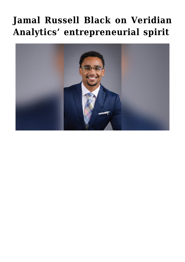## **[Jamal Russell Black on Veridian](https://gpsnews.ucsd.edu/jamal-russell-black-on-veridian-analytics-entrepreneurial-spirit/) [Analytics' entrepreneurial spirit](https://gpsnews.ucsd.edu/jamal-russell-black-on-veridian-analytics-entrepreneurial-spirit/)**

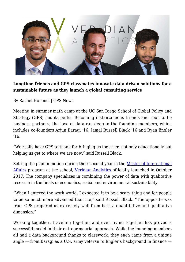

## **Longtime friends and GPS classmates innovate data driven solutions for a sustainable future as they launch a global consulting service**

By Rachel Hommel | GPS News

Meeting in summer math camp at the UC San Diego School of Global Policy and Strategy (GPS) has its perks. Becoming instantaneous friends and soon to be business partners, the love of data ran deep in the founding members, which includes co-founders Arjun Baragi '16, Jamal Russell Black '16 and Ryan Engler  $'16.$ 

"We really have GPS to thank for bringing us together, not only educationally but helping us get to where we are now," said Russell Black.

Setting the plan in motion during their second year in the [Master of International](https://gps.ucsd.edu/academics/mia.html) [Affairs](https://gps.ucsd.edu/academics/mia.html) program at the school, [Veridian Analytics](https://www.veridian-analytics.com/) officially launched in October 2017. The company specializes in combining the power of data with qualitative research in the fields of economics, social and environmental sustainability.

"When I entered the work world, I expected it to be a scary thing and for people to be so much more advanced than me," said Russell Black. "The opposite was true. GPS prepared us extremely well from both a quantitative and qualitative dimension."

Working together, traveling together and even living together has proved a successful model in their entrepreneurial approach. While the founding members all had a data background thanks to classwork, they each came from a unique angle — from Baragi as a U.S. army veteran to Engler's background in finance —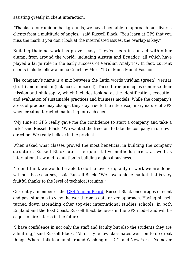assisting greatly in client interaction.

"Thanks to our unique backgrounds, we have been able to approach our diverse clients from a multitude of angles," said Russell Black. "You learn at GPS that you miss the mark if you don't look at the interrelated issues, the overlap is key."

Building their network has proven easy. They've been in contact with other alumni from around the world, including Austria and Ecuador, all which have played a large role in the early success of Veridian Analytics. In fact, current clients include fellow alumna Courtney Muro '16 of Mona Monet Fashion.

The company's name is a mix between the Latin words viridian (green), veritas (truth) and meridian (balanced, unbiased). These three principles comprise their mission and philosophy, which includes looking at the identification, execution and evaluation of sustainable practices and business models. While the company's areas of practice may change, they stay true to the interdisciplinary nature of GPS when creating targeted marketing for each client.

"My time at GPS really gave me the confidence to start a company and take a risk," said Russell Black. "We wanted the freedom to take the company in our own direction. We really believe in the product."

When asked what classes proved the most beneficial in building the company structure, Russell Black cites the quantitative methods series, as well as international law and regulation in building a global business.

"I don't think we would be able to do the level or quality of work we are doing without those courses," said Russell Black. "We have a niche market that is very fruitful thanks to the level of technical training."

Currently a member of the [GPS Alumni Board,](https://gps.ucsd.edu/alumni-giving/alumni-board.html) Russell Black encourages current and past students to view the world from a data-driven approach. Having himself turned down attending other top-tier international studies schools, in both England and the East Coast, Russell Black believes in the GPS model and will be eager to hire interns in the future.

"I have confidence in not only the staff and faculty but also the students they are admitting," said Russell Black. "All of my fellow classmates went on to do great things. When I talk to alumni around Washington, D.C. and New York, I've never